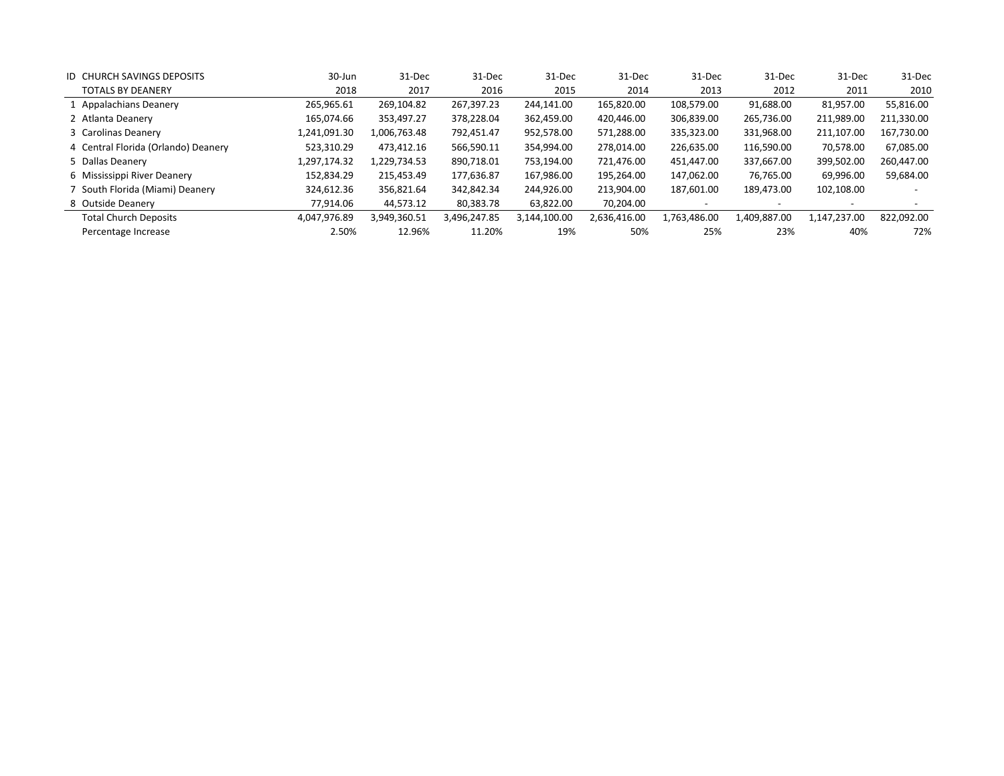| <b>ID CHURCH SAVINGS DEPOSITS</b>   | 30-Jun       | 31-Dec       | 31-Dec       | 31-Dec       | 31-Dec       | 31-Dec       | 31-Dec       | 31-Dec       | 31-Dec     |
|-------------------------------------|--------------|--------------|--------------|--------------|--------------|--------------|--------------|--------------|------------|
| <b>TOTALS BY DEANERY</b>            | 2018         | 2017         | 2016         | 2015         | 2014         | 2013         | 2012         | 2011         | 2010       |
| 1 Appalachians Deanery              | 265,965.61   | 269,104.82   | 267,397.23   | 244,141.00   | 165,820.00   | 108,579.00   | 91,688.00    | 81,957.00    | 55,816.00  |
| 2 Atlanta Deanery                   | 165,074.66   | 353,497.27   | 378,228.04   | 362,459.00   | 420,446.00   | 306,839.00   | 265,736.00   | 211,989.00   | 211,330.00 |
| 3 Carolinas Deanery                 | 1,241,091.30 | 1,006,763.48 | 792,451.47   | 952,578.00   | 571,288.00   | 335,323.00   | 331,968.00   | 211,107.00   | 167,730.00 |
| 4 Central Florida (Orlando) Deanery | 523,310.29   | 473,412.16   | 566,590.11   | 354,994.00   | 278,014.00   | 226,635.00   | 116,590.00   | 70,578.00    | 67,085.00  |
| 5 Dallas Deanery                    | 1,297,174.32 | 1,229,734.53 | 890,718.01   | 753.194.00   | 721,476.00   | 451,447.00   | 337,667.00   | 399,502.00   | 260,447.00 |
| 6 Mississippi River Deanery         | 152,834.29   | 215,453.49   | 177,636.87   | 167,986.00   | 195,264.00   | 147,062.00   | 76,765.00    | 69,996.00    | 59,684.00  |
| 7 South Florida (Miami) Deanery     | 324,612.36   | 356,821.64   | 342.842.34   | 244,926.00   | 213,904.00   | 187,601.00   | 189,473.00   | 102,108.00   |            |
| 8 Outside Deanery                   | 77,914.06    | 44,573.12    | 80,383.78    | 63,822.00    | 70,204.00    |              |              |              |            |
| <b>Total Church Deposits</b>        | 4,047,976.89 | 3,949,360.51 | 3,496,247.85 | 3,144,100.00 | 2,636,416.00 | 1,763,486.00 | 1,409,887.00 | 1,147,237.00 | 822,092.00 |
| Percentage Increase                 | 2.50%        | 12.96%       | 11.20%       | 19%          | 50%          | 25%          | 23%          | 40%          | 72%        |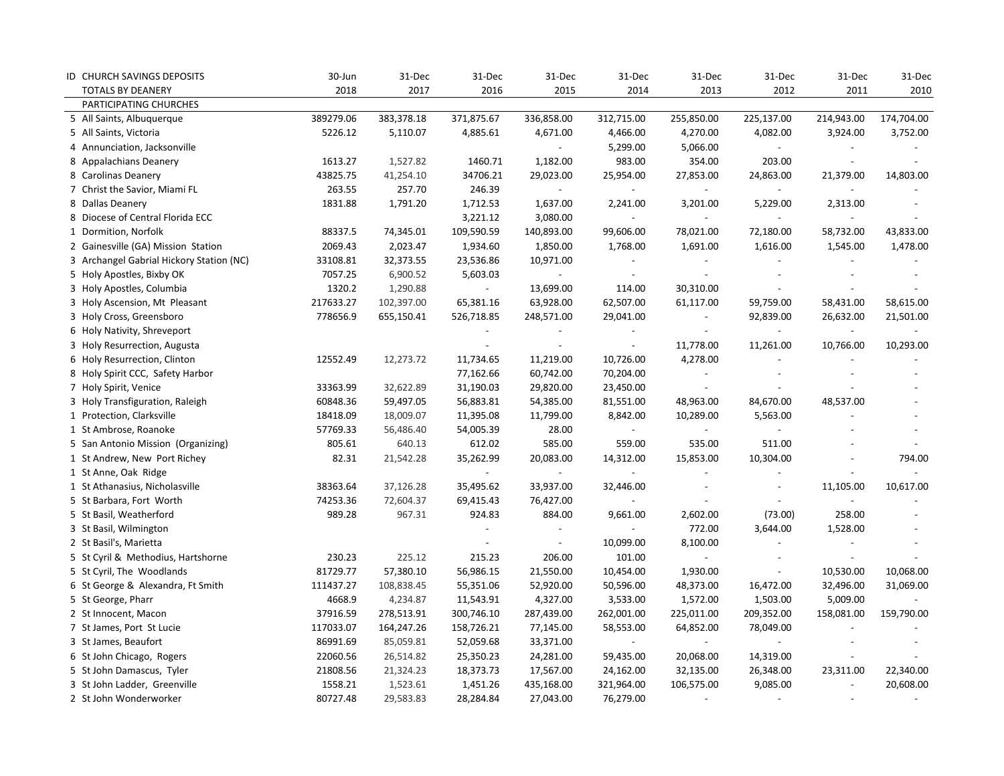| ID CHURCH SAVINGS DEPOSITS               | 30-Jun    | 31-Dec     | 31-Dec                   | 31-Dec         | 31-Dec     | 31-Dec                      | 31-Dec                   | 31-Dec                    | 31-Dec     |
|------------------------------------------|-----------|------------|--------------------------|----------------|------------|-----------------------------|--------------------------|---------------------------|------------|
| <b>TOTALS BY DEANERY</b>                 | 2018      | 2017       | 2016                     | 2015           | 2014       | 2013                        | 2012                     | 2011                      | 2010       |
| PARTICIPATING CHURCHES                   |           |            |                          |                |            |                             |                          |                           |            |
| 5 All Saints, Albuquerque                | 389279.06 | 383,378.18 | 371,875.67               | 336,858.00     | 312,715.00 | 255,850.00                  | 225,137.00               | 214,943.00                | 174,704.00 |
| 5 All Saints, Victoria                   | 5226.12   | 5,110.07   | 4,885.61                 | 4,671.00       | 4,466.00   | 4,270.00                    | 4,082.00                 | 3,924.00                  | 3,752.00   |
| 4 Annunciation, Jacksonville             |           |            |                          |                | 5,299.00   | 5,066.00                    |                          |                           |            |
| 8 Appalachians Deanery                   | 1613.27   | 1,527.82   | 1460.71                  | 1,182.00       | 983.00     | 354.00                      | 203.00                   |                           |            |
| 8 Carolinas Deanery                      | 43825.75  | 41,254.10  | 34706.21                 | 29,023.00      | 25,954.00  | 27,853.00                   | 24,863.00                | 21,379.00                 | 14,803.00  |
| 7 Christ the Savior, Miami FL            | 263.55    | 257.70     | 246.39                   |                |            | $\overline{\phantom{a}}$    |                          |                           |            |
| 8 Dallas Deanery                         | 1831.88   | 1,791.20   | 1,712.53                 | 1,637.00       | 2,241.00   | 3,201.00                    | 5,229.00                 | 2,313.00                  |            |
| 8 Diocese of Central Florida ECC         |           |            | 3,221.12                 | 3,080.00       | $\sim$     | $\overline{\phantom{a}}$    |                          |                           |            |
| 1 Dormition, Norfolk                     | 88337.5   | 74,345.01  | 109,590.59               | 140,893.00     | 99,606.00  | 78,021.00                   | 72,180.00                | 58,732.00                 | 43,833.00  |
| 2 Gainesville (GA) Mission Station       | 2069.43   | 2,023.47   | 1,934.60                 | 1,850.00       | 1,768.00   | 1,691.00                    | 1,616.00                 | 1,545.00                  | 1,478.00   |
| 3 Archangel Gabrial Hickory Station (NC) | 33108.81  | 32,373.55  | 23,536.86                | 10,971.00      | $\sim$     | $\blacksquare$              | $\centerdot$             |                           |            |
| 5 Holy Apostles, Bixby OK                | 7057.25   | 6,900.52   | 5,603.03                 |                | $\sim$     | $\blacksquare$              |                          |                           |            |
| 3 Holy Apostles, Columbia                | 1320.2    | 1,290.88   | $\overline{\phantom{a}}$ | 13,699.00      | 114.00     | 30,310.00                   | $\overline{a}$           |                           |            |
| 3 Holy Ascension, Mt Pleasant            | 217633.27 | 102,397.00 | 65,381.16                | 63,928.00      | 62,507.00  | 61,117.00                   | 59,759.00                | 58,431.00                 | 58,615.00  |
| 3 Holy Cross, Greensboro                 | 778656.9  | 655,150.41 | 526,718.85               | 248,571.00     | 29,041.00  | $\overline{\phantom{a}}$    | 92,839.00                | 26,632.00                 | 21,501.00  |
| 6 Holy Nativity, Shreveport              |           |            |                          |                |            | $\mathbb{L}$                | $\blacksquare$           | $\mathbb{Z}^{\mathbb{Z}}$ |            |
| 3 Holy Resurrection, Augusta             |           |            |                          |                | $\sim$     | 11,778.00                   | 11,261.00                | 10,766.00                 | 10,293.00  |
| 6 Holy Resurrection, Clinton             | 12552.49  | 12,273.72  | 11,734.65                | 11,219.00      | 10,726.00  | 4,278.00                    |                          |                           |            |
| 8 Holy Spirit CCC, Safety Harbor         |           |            | 77,162.66                | 60,742.00      | 70,204.00  | $\overline{\phantom{a}}$    |                          |                           |            |
| 7 Holy Spirit, Venice                    | 33363.99  | 32,622.89  | 31,190.03                | 29,820.00      | 23,450.00  | $\blacksquare$              |                          |                           |            |
| 3 Holy Transfiguration, Raleigh          | 60848.36  | 59,497.05  | 56,883.81                | 54,385.00      | 81,551.00  | 48,963.00                   | 84,670.00                | 48,537.00                 |            |
| 1 Protection, Clarksville                | 18418.09  | 18,009.07  | 11,395.08                | 11,799.00      | 8,842.00   | 10,289.00                   | 5,563.00                 |                           |            |
| 1 St Ambrose, Roanoke                    | 57769.33  | 56,486.40  | 54,005.39                | 28.00          | $\sim$     | $\sim$                      | $\overline{\phantom{0}}$ |                           |            |
| 5 San Antonio Mission (Organizing)       | 805.61    | 640.13     | 612.02                   | 585.00         | 559.00     | 535.00                      | 511.00                   |                           |            |
| 1 St Andrew, New Port Richey             | 82.31     | 21,542.28  | 35,262.99                | 20,083.00      | 14,312.00  | 15,853.00                   | 10,304.00                |                           | 794.00     |
| 1 St Anne, Oak Ridge                     |           |            |                          | $\overline{a}$ |            | $\overline{\phantom{a}}$    |                          |                           |            |
| 1 St Athanasius, Nicholasville           | 38363.64  | 37,126.28  | 35,495.62                | 33,937.00      | 32,446.00  | $\overline{\phantom{a}}$    | $\overline{\phantom{a}}$ | 11,105.00                 | 10,617.00  |
| 5 St Barbara, Fort Worth                 | 74253.36  | 72,604.37  | 69,415.43                | 76,427.00      |            | $\blacksquare$              |                          |                           |            |
| 5 St Basil, Weatherford                  | 989.28    | 967.31     | 924.83                   | 884.00         | 9,661.00   | 2,602.00                    | (73.00)                  | 258.00                    |            |
| 3 St Basil, Wilmington                   |           |            |                          |                |            | 772.00                      | 3,644.00                 | 1,528.00                  |            |
| 2 St Basil's, Marietta                   |           |            |                          |                | 10,099.00  | 8,100.00                    | $\overline{\phantom{a}}$ |                           |            |
| 5 St Cyril & Methodius, Hartshorne       | 230.23    | 225.12     | 215.23                   | 206.00         | 101.00     | $\mathcal{L}_{\mathcal{A}}$ | $\overline{\phantom{a}}$ |                           |            |
| 5 St Cyril, The Woodlands                | 81729.77  | 57,380.10  | 56,986.15                | 21,550.00      | 10,454.00  | 1,930.00                    | $\overline{\phantom{a}}$ | 10,530.00                 | 10,068.00  |
| 6 St George & Alexandra, Ft Smith        | 111437.27 | 108,838.45 | 55,351.06                | 52,920.00      | 50,596.00  | 48,373.00                   | 16,472.00                | 32,496.00                 | 31,069.00  |
| 5 St George, Pharr                       | 4668.9    | 4,234.87   | 11,543.91                | 4,327.00       | 3,533.00   | 1,572.00                    | 1,503.00                 | 5,009.00                  |            |
| 2 St Innocent, Macon                     | 37916.59  | 278,513.91 | 300,746.10               | 287,439.00     | 262,001.00 | 225,011.00                  | 209,352.00               | 158,081.00                | 159,790.00 |
| 7 St James, Port St Lucie                | 117033.07 | 164,247.26 | 158,726.21               | 77,145.00      | 58,553.00  | 64,852.00                   | 78,049.00                |                           |            |
| 3 St James, Beaufort                     | 86991.69  | 85,059.81  | 52,059.68                | 33,371.00      | $\sim$     | $\blacksquare$              |                          |                           |            |
| 6 St John Chicago, Rogers                | 22060.56  | 26,514.82  | 25,350.23                | 24,281.00      | 59,435.00  | 20,068.00                   | 14,319.00                |                           |            |
| 5 St John Damascus, Tyler                | 21808.56  | 21,324.23  | 18,373.73                | 17,567.00      | 24,162.00  | 32,135.00                   | 26,348.00                | 23,311.00                 | 22,340.00  |
| 3 St John Ladder, Greenville             | 1558.21   | 1,523.61   | 1,451.26                 | 435,168.00     | 321,964.00 | 106,575.00                  | 9,085.00                 | $\blacksquare$            | 20,608.00  |
| 2 St John Wonderworker                   | 80727.48  | 29,583.83  | 28,284.84                | 27,043.00      | 76,279.00  | $\sim$                      | $\overline{a}$           |                           |            |